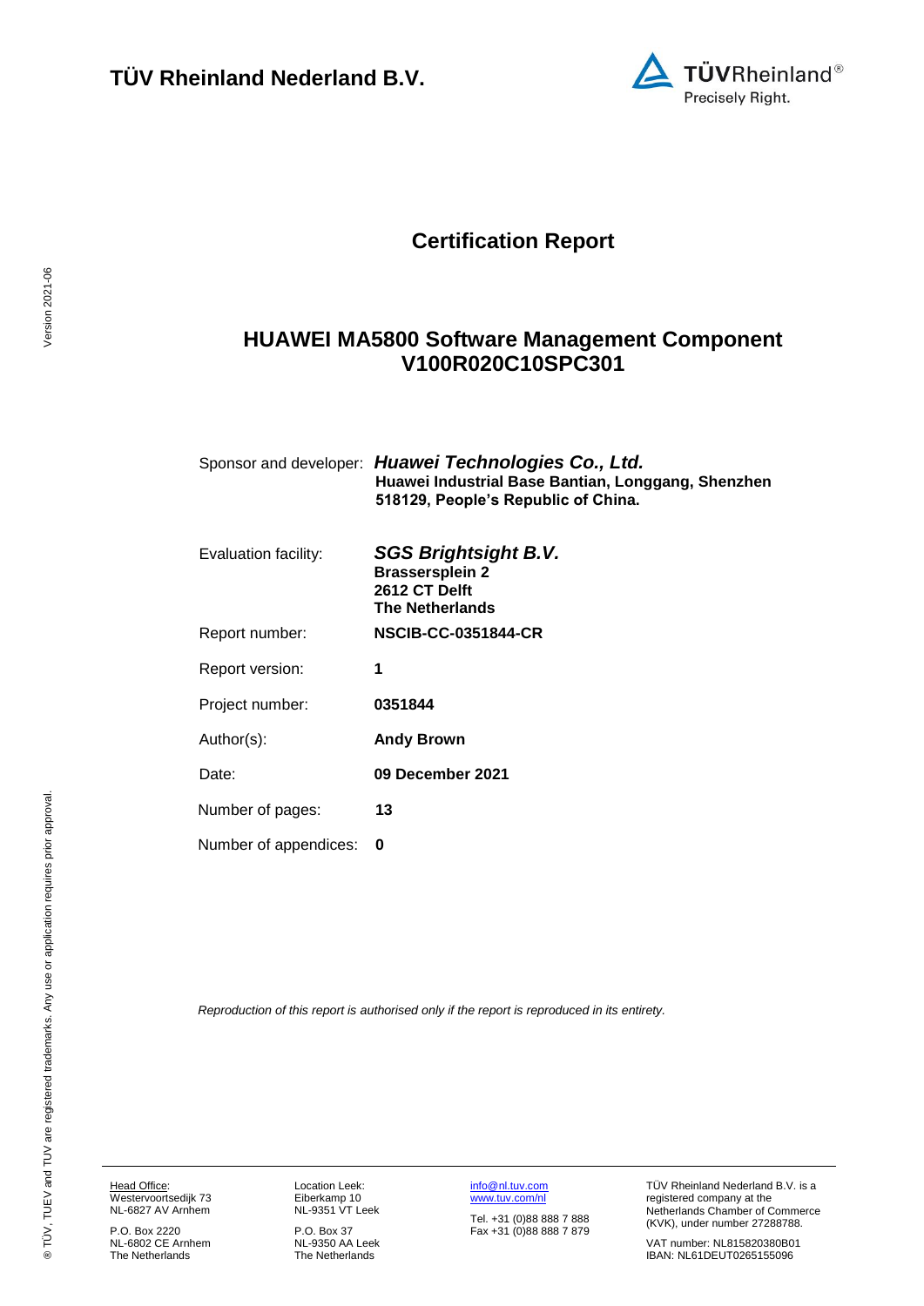

# **Certification Report**

## <span id="page-0-3"></span>**HUAWEI MA5800 Software Management Component V100R020C10SPC301**

<span id="page-0-4"></span><span id="page-0-1"></span><span id="page-0-0"></span>

|                       | Sponsor and developer: Huawei Technologies Co., Ltd.<br>Huawei Industrial Base Bantian, Longgang, Shenzhen<br>518129, People's Republic of China. |
|-----------------------|---------------------------------------------------------------------------------------------------------------------------------------------------|
| Evaluation facility:  | <b>SGS Brightsight B.V.</b><br><b>Brassersplein 2</b><br>2612 CT Delft<br><b>The Netherlands</b>                                                  |
| Report number:        | <b>NSCIB-CC-0351844-CR</b>                                                                                                                        |
| Report version:       | 1                                                                                                                                                 |
| Project number:       | 0351844                                                                                                                                           |
| Author(s):            | <b>Andy Brown</b>                                                                                                                                 |
| Date:                 | 09 December 2021                                                                                                                                  |
| Number of pages:      | 13                                                                                                                                                |
| Number of appendices: | 0                                                                                                                                                 |

<span id="page-0-2"></span>*Reproduction of this report is authorised only if the report is reproduced in its entirety.*

Head Office: Westervoortsedijk 73 NL-6827 AV Arnhem

P.O. Box 2220 NL-6802 CE Arnhem The Netherlands Location Leek: Eiberkamp 10 NL-9351 VT Leek

P.O. Box 37 NL-9350 AA Leek The Netherlands [info@nl.tuv.com](mailto:info@nl.tuv.com) [www.tuv.com/nl](http://www.tuv.com/nl)

Tel. +31 (0)88 888 7 888 Fax +31 (0)88 888 7 879 TÜV Rheinland Nederland B.V. is a registered company at the Netherlands Chamber of Commerce (KVK), under number 27288788.

VAT number: NL815820380B01 IBAN: NL61DEUT0265155096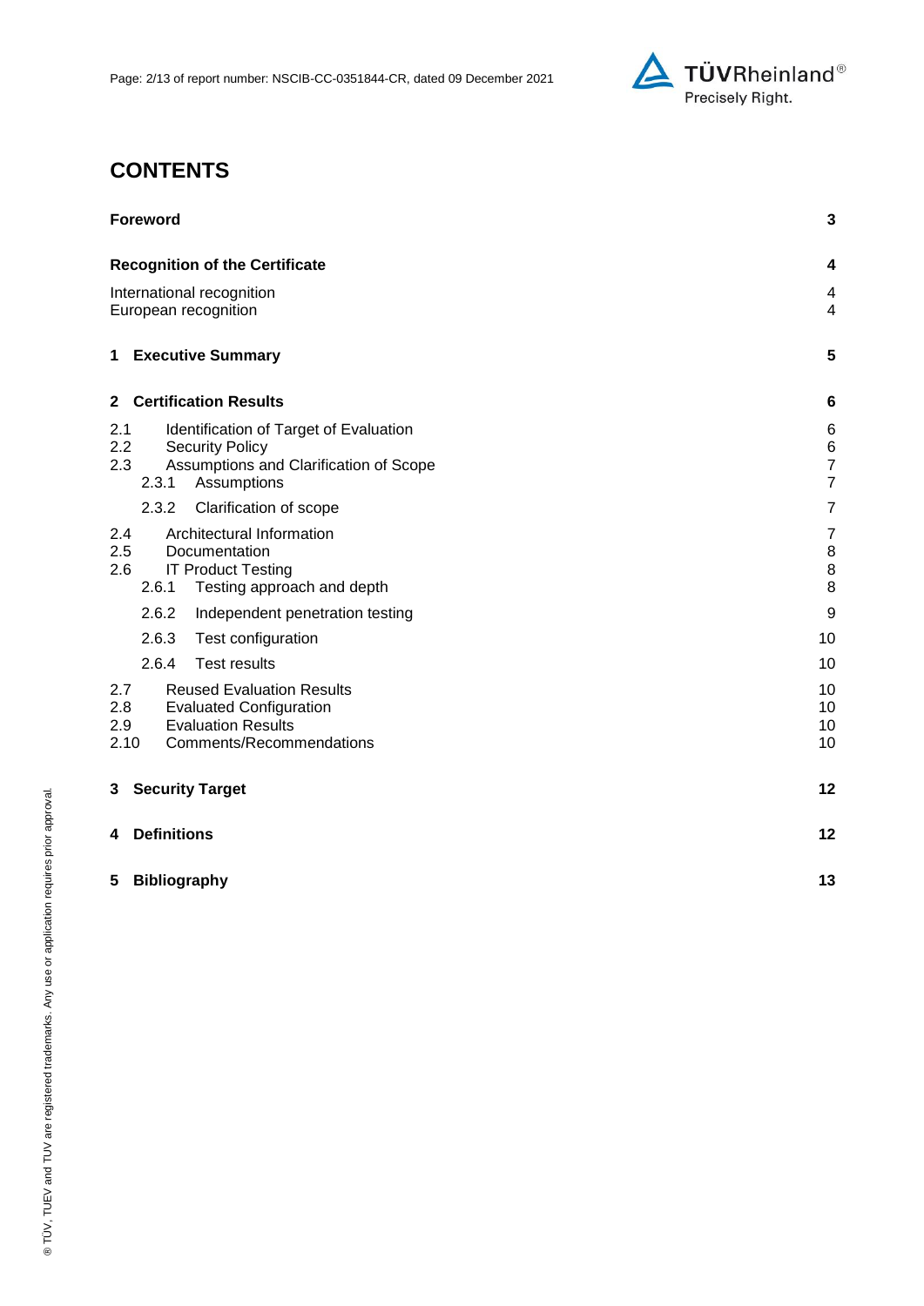

# **CONTENTS**

| <b>Foreword</b>                                                                                                                                          | 3                                              |
|----------------------------------------------------------------------------------------------------------------------------------------------------------|------------------------------------------------|
| <b>Recognition of the Certificate</b>                                                                                                                    | 4                                              |
| International recognition<br>European recognition                                                                                                        | 4<br>4                                         |
| <b>Executive Summary</b><br>$\mathbf 1$                                                                                                                  | 5                                              |
| <b>Certification Results</b><br>$\mathbf{2}$                                                                                                             | 6                                              |
| Identification of Target of Evaluation<br>2.1<br>2.2<br><b>Security Policy</b><br>2.3<br>Assumptions and Clarification of Scope<br>2.3.1<br>Assumptions  | 6<br>$\,6$<br>$\overline{7}$<br>$\overline{7}$ |
| 2.3.2<br>Clarification of scope                                                                                                                          | $\overline{7}$                                 |
| Architectural Information<br>2.4<br>2.5<br>Documentation<br>2.6<br><b>IT Product Testing</b><br>2.6.1<br>Testing approach and depth                      | $\overline{7}$<br>8<br>$\,8\,$<br>$\bf 8$      |
| 2.6.2<br>Independent penetration testing                                                                                                                 | 9                                              |
| 2.6.3<br>Test configuration                                                                                                                              | 10                                             |
| 2.6.4<br><b>Test results</b>                                                                                                                             | 10                                             |
| 2.7<br><b>Reused Evaluation Results</b><br>2.8<br><b>Evaluated Configuration</b><br><b>Evaluation Results</b><br>2.9<br>2.10<br>Comments/Recommendations | 10<br>10<br>10<br>10                           |
| <b>Security Target</b><br>3                                                                                                                              | 12                                             |
| <b>Definitions</b><br>4                                                                                                                                  | 12                                             |
| 5<br><b>Bibliography</b>                                                                                                                                 | 13                                             |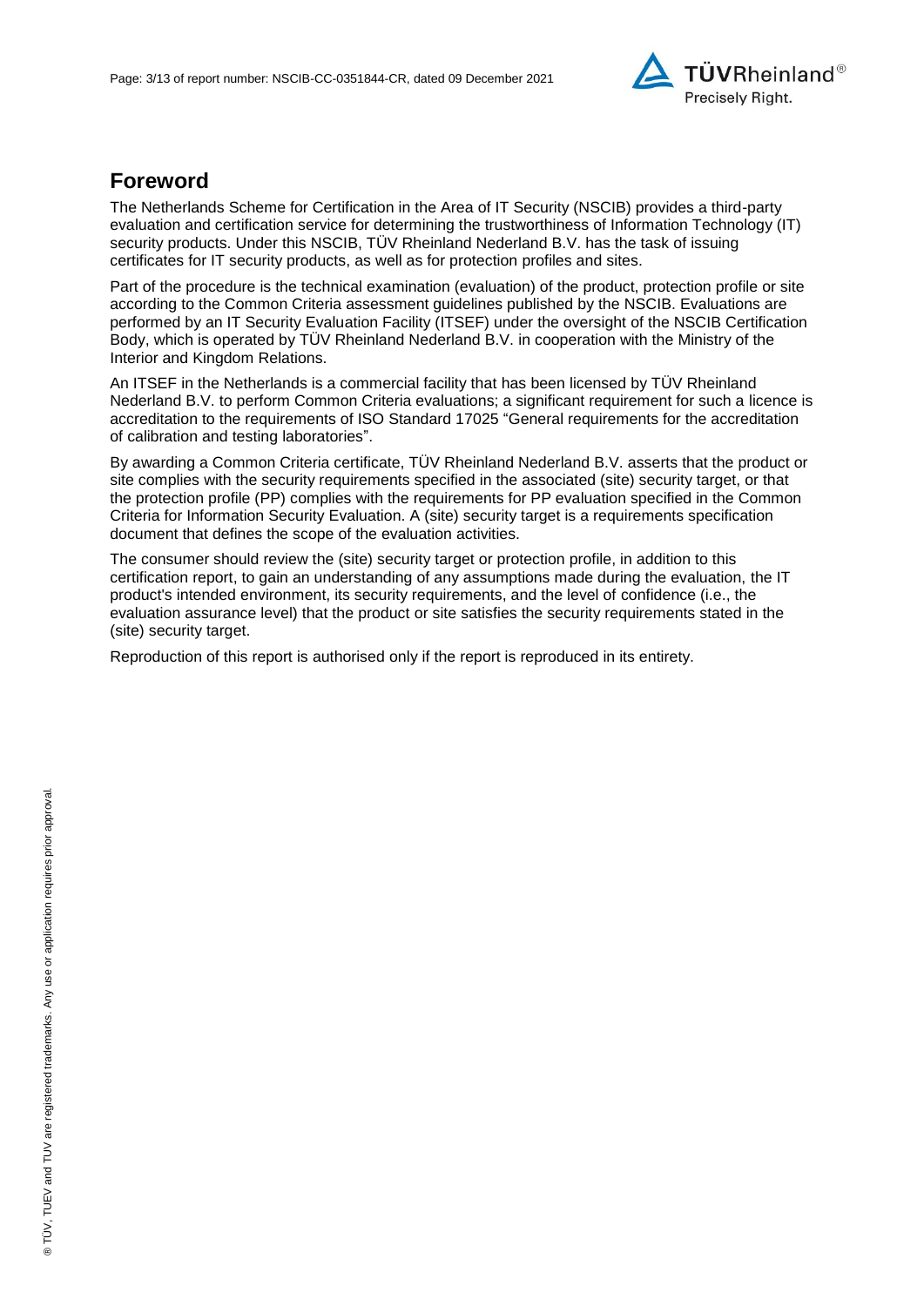

## **Foreword**

The Netherlands Scheme for Certification in the Area of IT Security (NSCIB) provides a third-party evaluation and certification service for determining the trustworthiness of Information Technology (IT) security products. Under this NSCIB, TÜV Rheinland Nederland B.V. has the task of issuing certificates for IT security products, as well as for protection profiles and sites.

Part of the procedure is the technical examination (evaluation) of the product, protection profile or site according to the Common Criteria assessment guidelines published by the NSCIB. Evaluations are performed by an IT Security Evaluation Facility (ITSEF) under the oversight of the NSCIB Certification Body, which is operated by TÜV Rheinland Nederland B.V. in cooperation with the Ministry of the Interior and Kingdom Relations.

An ITSEF in the Netherlands is a commercial facility that has been licensed by TÜV Rheinland Nederland B.V. to perform Common Criteria evaluations; a significant requirement for such a licence is accreditation to the requirements of ISO Standard 17025 "General requirements for the accreditation of calibration and testing laboratories".

By awarding a Common Criteria certificate, TÜV Rheinland Nederland B.V. asserts that the product or site complies with the security requirements specified in the associated (site) security target, or that the protection profile (PP) complies with the requirements for PP evaluation specified in the Common Criteria for Information Security Evaluation. A (site) security target is a requirements specification document that defines the scope of the evaluation activities.

The consumer should review the (site) security target or protection profile, in addition to this certification report, to gain an understanding of any assumptions made during the evaluation, the IT product's intended environment, its security requirements, and the level of confidence (i.e., the evaluation assurance level) that the product or site satisfies the security requirements stated in the (site) security target.

Reproduction of this report is authorised only if the report is reproduced in its entirety.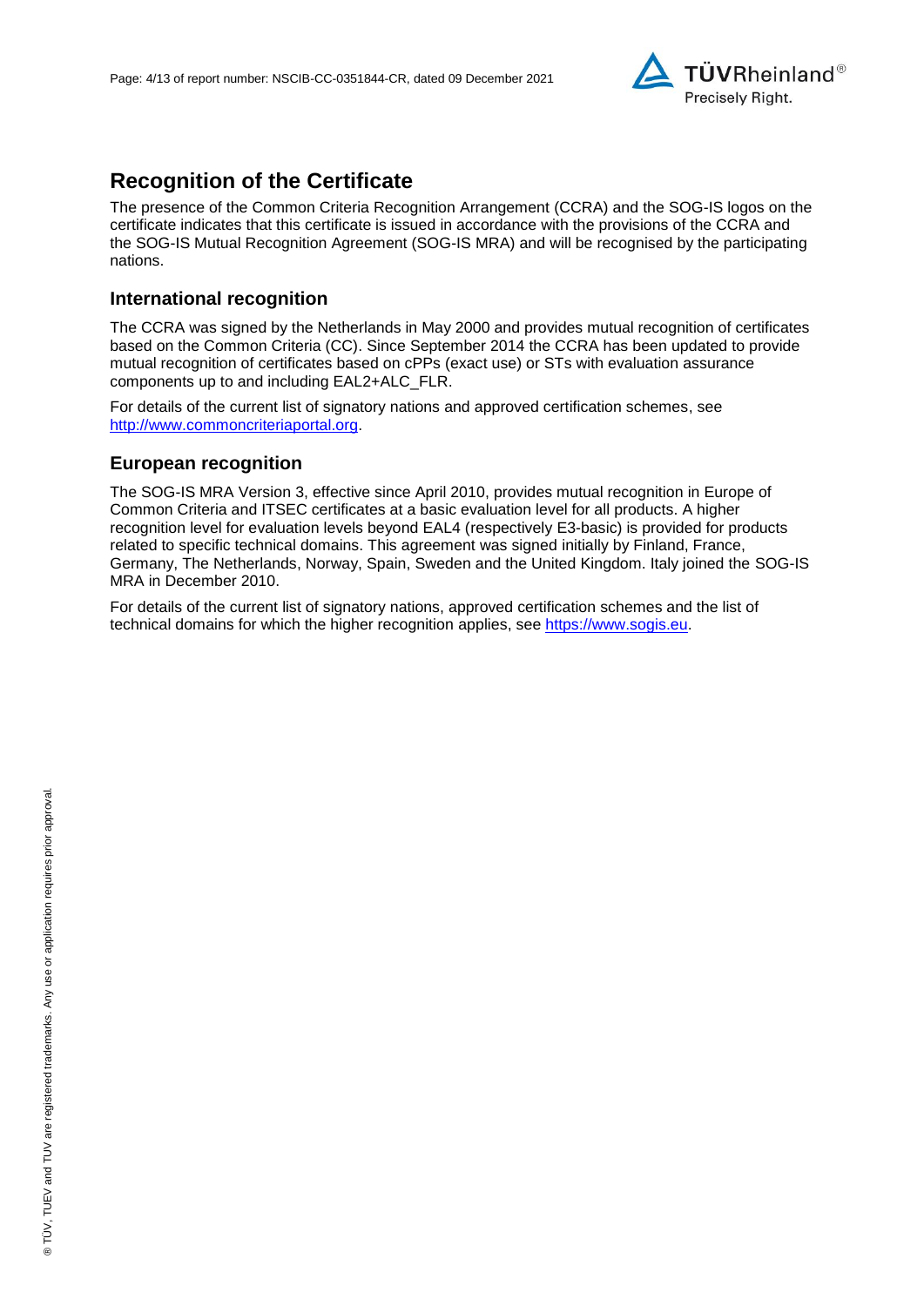

## **Recognition of the Certificate**

The presence of the Common Criteria Recognition Arrangement (CCRA) and the SOG-IS logos on the certificate indicates that this certificate is issued in accordance with the provisions of the CCRA and the SOG-IS Mutual Recognition Agreement (SOG-IS MRA) and will be recognised by the participating nations.

### **International recognition**

The CCRA was signed by the Netherlands in May 2000 and provides mutual recognition of certificates based on the Common Criteria (CC). Since September 2014 the CCRA has been updated to provide mutual recognition of certificates based on cPPs (exact use) or STs with evaluation assurance components up to and including EAL2+ALC\_FLR.

For details of the current list of signatory nations and approved certification schemes, see [http://www.commoncriteriaportal.org.](http://www.commoncriteriaportal.org/)

### **European recognition**

The SOG-IS MRA Version 3, effective since April 2010, provides mutual recognition in Europe of Common Criteria and ITSEC certificates at a basic evaluation level for all products. A higher recognition level for evaluation levels beyond EAL4 (respectively E3-basic) is provided for products related to specific technical domains. This agreement was signed initially by Finland, France, Germany, The Netherlands, Norway, Spain, Sweden and the United Kingdom. Italy joined the SOG-IS MRA in December 2010.

For details of the current list of signatory nations, approved certification schemes and the list of technical domains for which the higher recognition applies, see [https://www.sogis.eu.](https://www.sogis.eu/)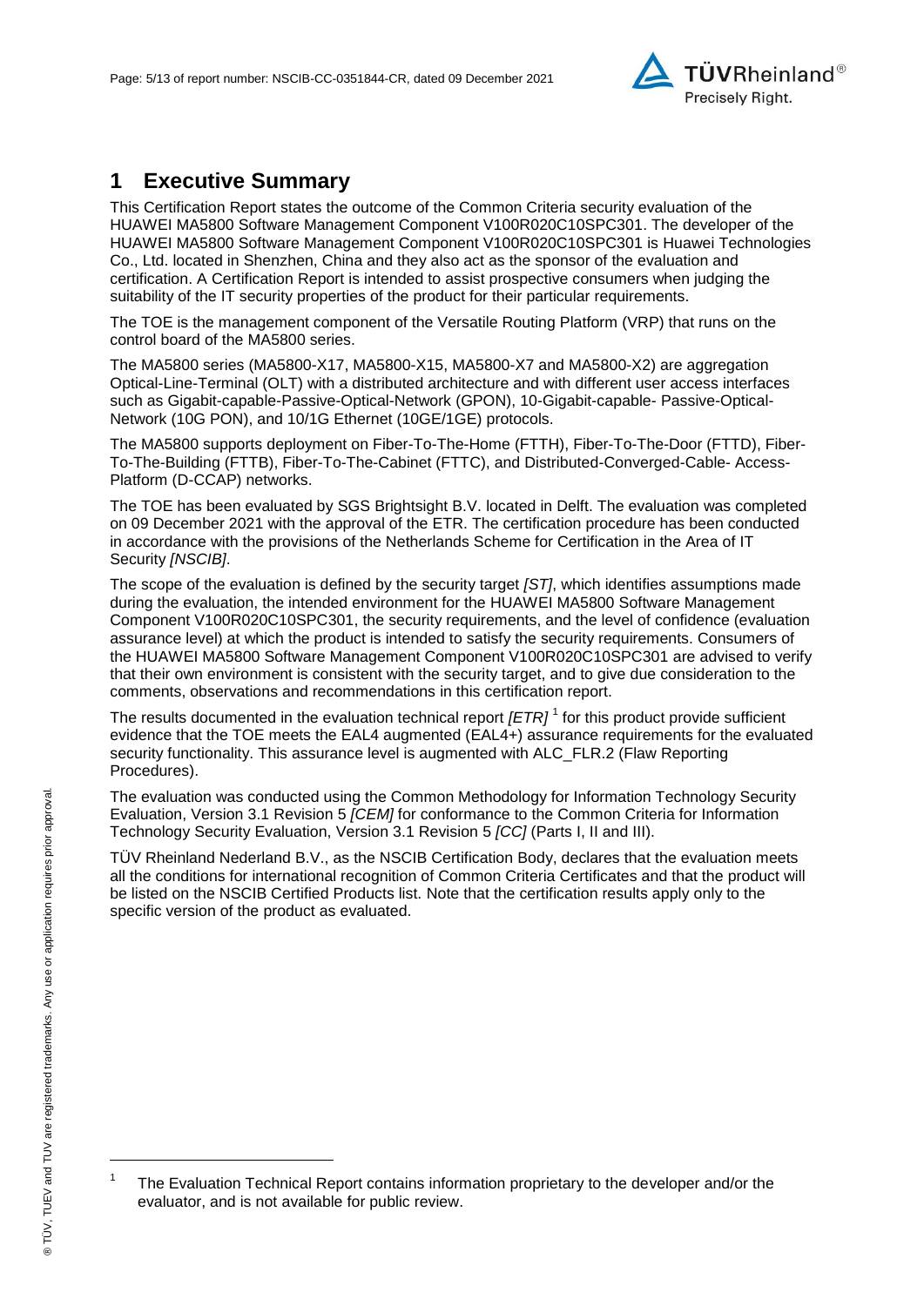

## **1 Executive Summary**

<span id="page-4-2"></span>This Certification Report states the outcome of the Common Criteria security evaluation of the [HUAWEI MA5800 Software Management Component V100R020C10SPC301.](#page-0-3) The developer of the [HUAWEI MA5800 Software Management Component V100R020C10SPC301](#page-0-3) is [Huawei Technologies](#page-0-4)  [Co., Ltd.](#page-0-4) located in Shenzhen, China and they also act as the sponsor of the evaluation and certification. A Certification Report is intended to assist prospective consumers when judging the suitability of the IT security properties of the product for their particular requirements.

The TOE is the management component of the Versatile Routing Platform (VRP) that runs on the control board of the MA5800 series.

The MA5800 series (MA5800-X17, MA5800-X15, MA5800-X7 and MA5800-X2) are aggregation Optical-Line-Terminal (OLT) with a distributed architecture and with different user access interfaces such as Gigabit-capable-Passive-Optical-Network (GPON), 10-Gigabit-capable- Passive-Optical-Network (10G PON), and 10/1G Ethernet (10GE/1GE) protocols.

The MA5800 supports deployment on Fiber-To-The-Home (FTTH), Fiber-To-The-Door (FTTD), Fiber-To-The-Building (FTTB), Fiber-To-The-Cabinet (FTTC), and Distributed-Converged-Cable- Access-Platform (D-CCAP) networks.

The TOE has been evaluated by SGS Brightsight B.V. located in Delft. The evaluation was completed on 09 December 2021 with the approval of the ETR. The certification procedure has been conducted in accordance with the provisions of the Netherlands Scheme for Certification in the Area of IT Security *[NSCIB]*.

The scope of the evaluation is defined by the security target *[ST]*, which identifies assumptions made during the evaluation, the intended environment for the [HUAWEI MA5800 Software Management](#page-0-3)  [Component V100R020C10SPC301,](#page-0-3) the security requirements, and the level of confidence (evaluation assurance level) at which the product is intended to satisfy the security requirements. Consumers of the [HUAWEI MA5800 Software Management Component V100R020C10SPC301](#page-0-3) are advised to verify that their own environment is consistent with the security target, and to give due consideration to the comments, observations and recommendations in this certification report.

<span id="page-4-0"></span>The results documented in the evaluation technical report *[ETR]* <sup>1</sup> for this product provide sufficient evidence that the TOE meets the EAL4 augmented (EA[L4+](#page-4-0)) assurance requirements for the evaluated security functionality. This assurance level is augmented with ALC\_FLR.2 (Flaw Reporting Procedures).

<span id="page-4-1"></span>The evaluation was conducted using the Common Methodology for Information Technology Security Evaluation, Version 3.1 Revision 5 *[CEM]* for conformance to the Common Criteria for Information Technology Security Evaluation, Version 3.1 Revision [5](#page-4-1) *[CC]* (Parts I, II and III).

TÜV Rheinland Nederland B.V., as the NSCIB Certification Body, declares that the evaluation meets all the conditions for international recognition of Common Criteria Certificates and that the product will be listed on the NSCIB Certified Products list. Note that the certification results apply only to the specific version of the product as evaluated.

l

<sup>1</sup> The Evaluation Technical Report contains information proprietary to the developer and/or the evaluator, and is not available for public review.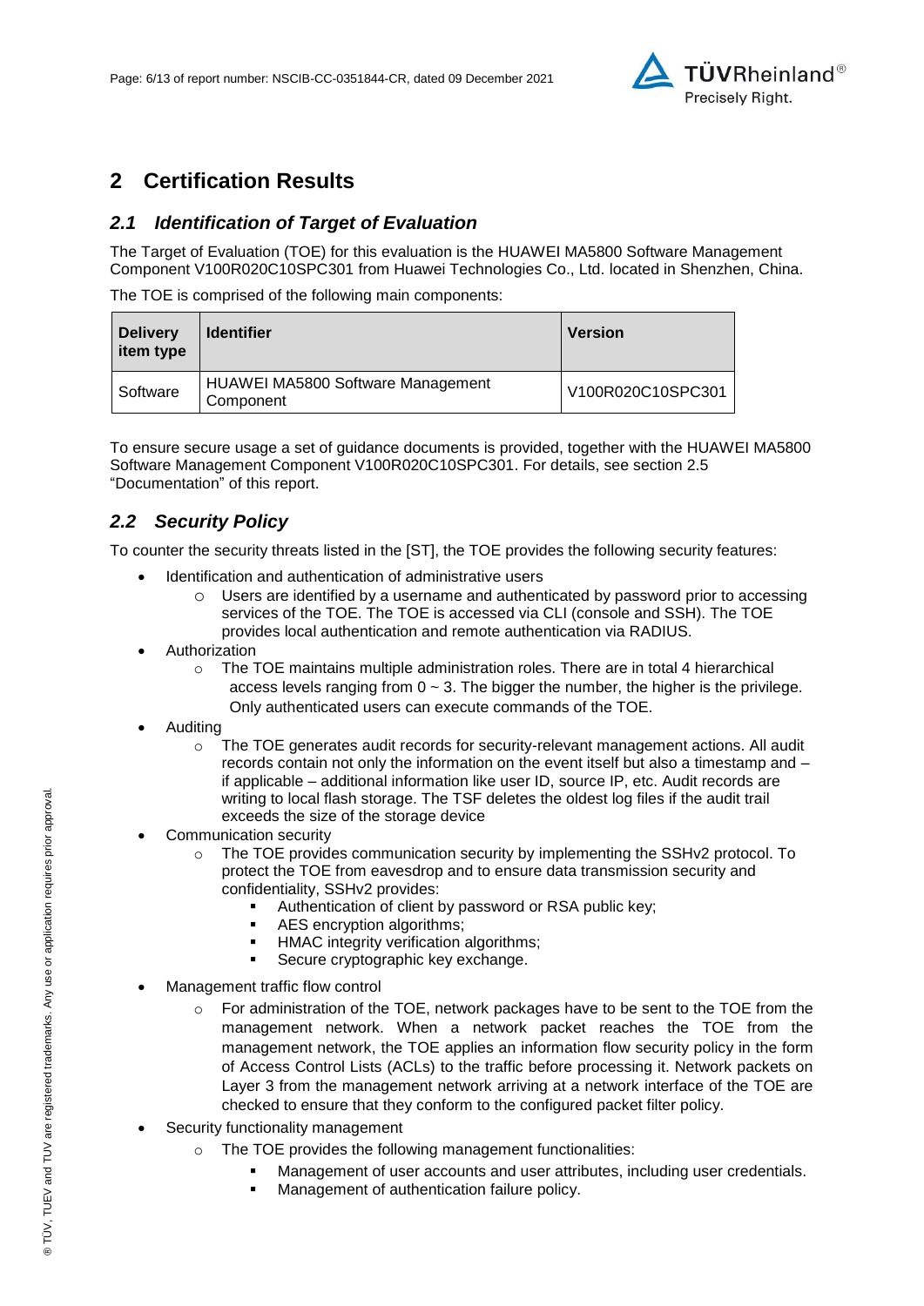

## **2 Certification Results**

### *2.1 Identification of Target of Evaluation*

The Target of Evaluation (TOE) for this evaluation is the [HUAWEI MA5800 Software Management](#page-0-3)  [Component V100R020C10SPC301](#page-0-3) from [Huawei Technologies Co., Ltd.](#page-0-4) located in [Shenzhen, China.](#page-4-2)

The TOE is comprised of the following main components:

| <b>Delivery</b><br>item type | <b>Identifier</b>                                     | <b>Version</b>    |
|------------------------------|-------------------------------------------------------|-------------------|
| Software                     | <b>HUAWEI MA5800 Software Management</b><br>Component | V100R020C10SPC301 |

To ensure secure usage a set of guidance documents is provided, together with the [HUAWEI MA5800](#page-0-3)  [Software Management Component V100R020C10SPC301.](#page-0-3) For details, see section [2.5](#page-7-0) ["Documentation"](#page-7-0) of this report.

### *2.2 Security Policy*

To counter the security threats listed in the [ST], the TOE provides the following security features:

- Identification and authentication of administrative users
	- o Users are identified by a username and authenticated by password prior to accessing services of the TOE. The TOE is accessed via CLI (console and SSH). The TOE provides local authentication and remote authentication via RADIUS.
- Authorization
	- o The TOE maintains multiple administration roles. There are in total 4 hierarchical access levels ranging from  $0 \sim 3$ . The bigger the number, the higher is the privilege. Only authenticated users can execute commands of the TOE.
- Auditing
	- $\circ$  The TOE generates audit records for security-relevant management actions. All audit records contain not only the information on the event itself but also a timestamp and – if applicable – additional information like user ID, source IP, etc. Audit records are writing to local flash storage. The TSF deletes the oldest log files if the audit trail exceeds the size of the storage device
- Communication security
	- $\circ$  The TOE provides communication security by implementing the SSHv2 protocol. To protect the TOE from eavesdrop and to ensure data transmission security and confidentiality, SSHv2 provides:
		- Authentication of client by password or RSA public key;
		- **AES** encryption algorithms;
		- **HMAC** integrity verification algorithms;
		- **Secure cryptographic key exchange.**
- Management traffic flow control
	- $\circ$  For administration of the TOE, network packages have to be sent to the TOE from the management network. When a network packet reaches the TOE from the management network, the TOE applies an information flow security policy in the form of Access Control Lists (ACLs) to the traffic before processing it. Network packets on Layer 3 from the management network arriving at a network interface of the TOE are checked to ensure that they conform to the configured packet filter policy.
- Security functionality management
	- o The TOE provides the following management functionalities:
		- Management of user accounts and user attributes, including user credentials.
		- Management of authentication failure policy.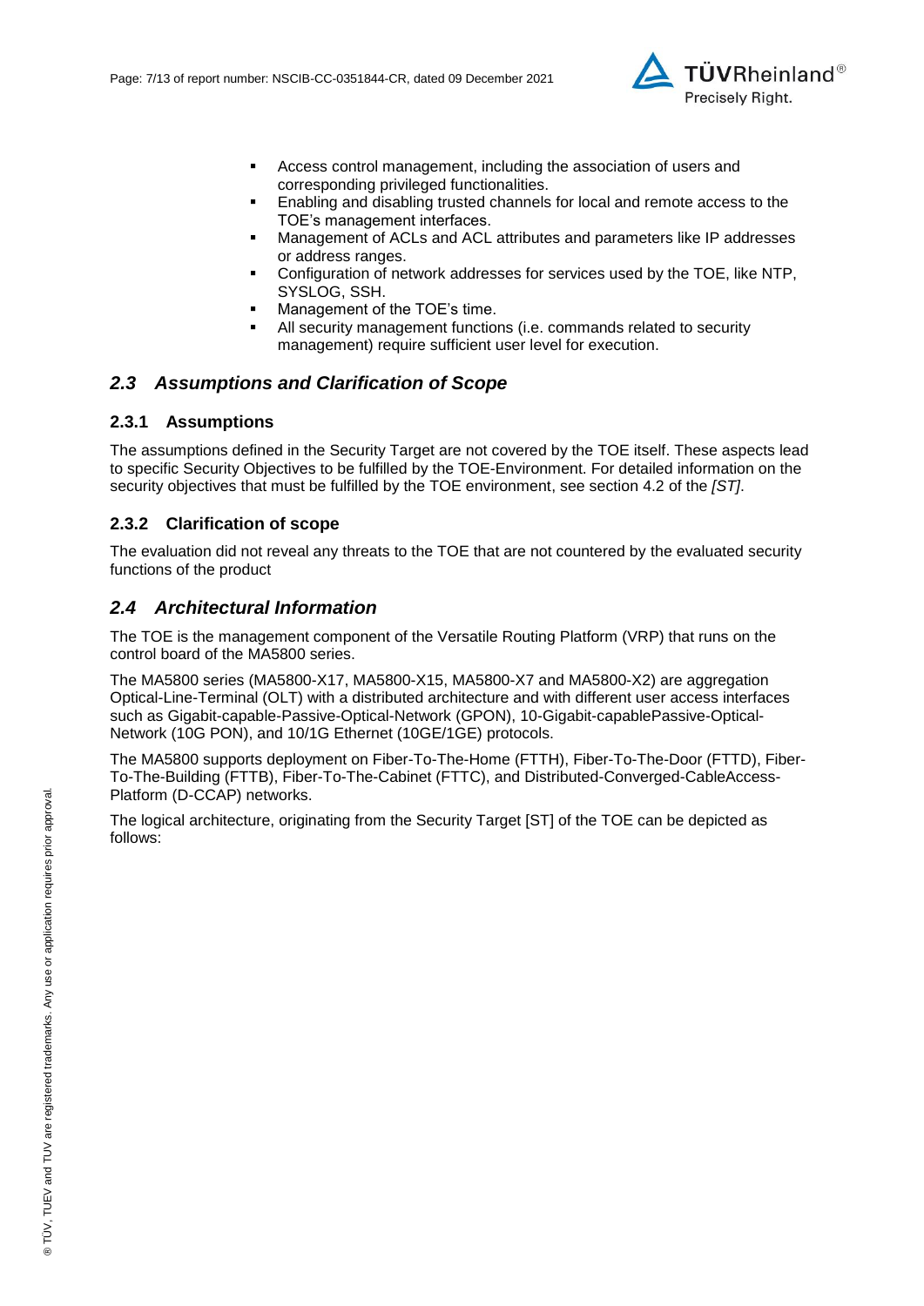

- Access control management, including the association of users and corresponding privileged functionalities.
- Enabling and disabling trusted channels for local and remote access to the TOE's management interfaces.
- Management of ACLs and ACL attributes and parameters like IP addresses or address ranges.
- Configuration of network addresses for services used by the TOE, like NTP, SYSLOG, SSH.
- Management of the TOE's time.
- All security management functions (i.e. commands related to security management) require sufficient user level for execution.

#### *2.3 Assumptions and Clarification of Scope*

#### **2.3.1 Assumptions**

The assumptions defined in the Security Target are not covered by the TOE itself. These aspects lead to specific Security Objectives to be fulfilled by the TOE-Environment. For detailed information on the security objectives that must be fulfilled by the TOE environment, see section 4.2 of the *[ST]*.

#### **2.3.2 Clarification of scope**

The evaluation did not reveal any threats to the TOE that are not countered by the evaluated security functions of the product

#### *2.4 Architectural Information*

The TOE is the management component of the Versatile Routing Platform (VRP) that runs on the control board of the MA5800 series.

The MA5800 series (MA5800-X17, MA5800-X15, MA5800-X7 and MA5800-X2) are aggregation Optical-Line-Terminal (OLT) with a distributed architecture and with different user access interfaces such as Gigabit-capable-Passive-Optical-Network (GPON), 10-Gigabit-capablePassive-Optical-Network (10G PON), and 10/1G Ethernet (10GE/1GE) protocols.

The MA5800 supports deployment on Fiber-To-The-Home (FTTH), Fiber-To-The-Door (FTTD), Fiber-To-The-Building (FTTB), Fiber-To-The-Cabinet (FTTC), and Distributed-Converged-CableAccess-Platform (D-CCAP) networks.

The logical architecture, originating from the Security Target [ST] of the TOE can be depicted as follows: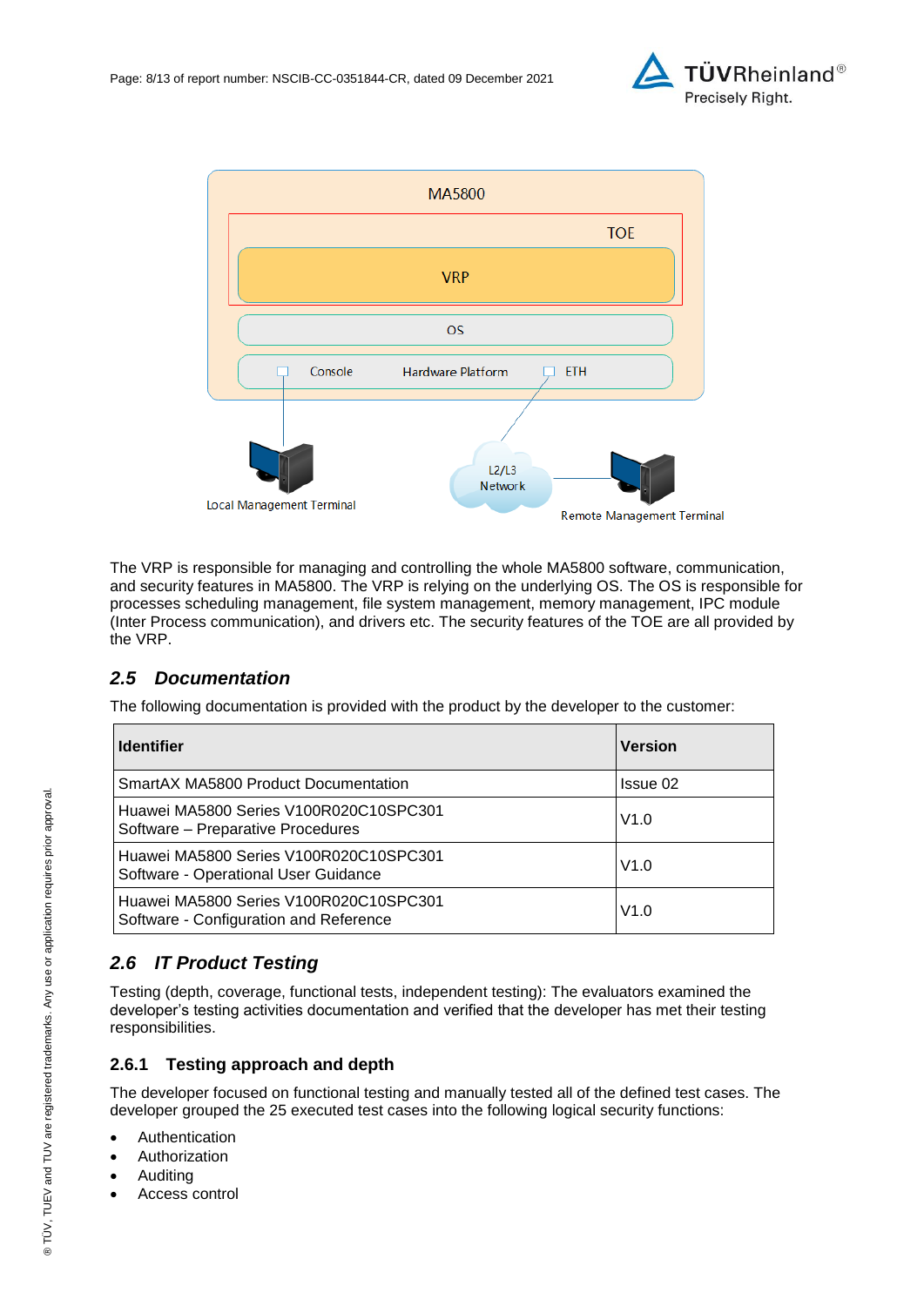



The VRP is responsible for managing and controlling the whole MA5800 software, communication, and security features in MA5800. The VRP is relying on the underlying OS. The OS is responsible for processes scheduling management, file system management, memory management, IPC module (Inter Process communication), and drivers etc. The security features of the TOE are all provided by the VRP.

## <span id="page-7-0"></span>*2.5 Documentation*

The following documentation is provided with the product by the developer to the customer:

| <b>Identifier</b>                                                                | <b>Version</b> |
|----------------------------------------------------------------------------------|----------------|
| SmartAX MA5800 Product Documentation                                             | Issue 02       |
| Huawei MA5800 Series V100R020C10SPC301<br>Software – Preparative Procedures      | V1.0           |
| Huawei MA5800 Series V100R020C10SPC301<br>Software - Operational User Guidance   | V1.0           |
| Huawei MA5800 Series V100R020C10SPC301<br>Software - Configuration and Reference | V1.0           |

## *2.6 IT Product Testing*

Testing (depth, coverage, functional tests, independent testing): The evaluators examined the developer's testing activities documentation and verified that the developer has met their testing responsibilities.

### **2.6.1 Testing approach and depth**

The developer focused on functional testing and manually tested all of the defined test cases. The developer grouped the 25 executed test cases into the following logical security functions:

- Authentication
- Authorization
- Auditing
- Access control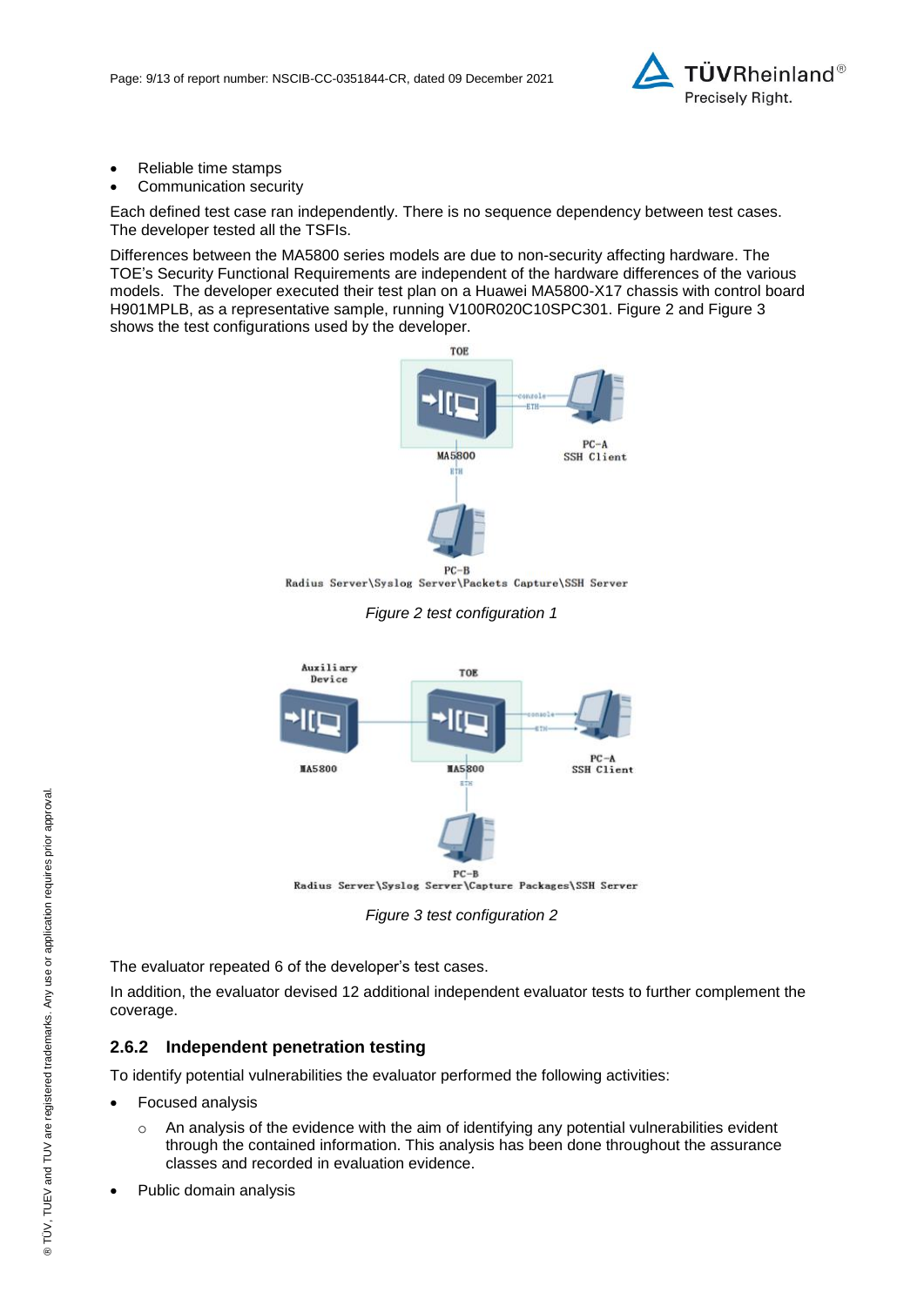

- Reliable time stamps
- Communication security

Each defined test case ran independently. There is no sequence dependency between test cases. The developer tested all the TSFIs.

Differences between the MA5800 series models are due to non-security affecting hardware. The TOE's Security Functional Requirements are independent of the hardware differences of the various models. The developer executed their test plan on a Huawei MA5800-X17 chassis with control board H901MPLB, as a representative sample, running V100R020C10SPC301. Figure 2 and Figure 3 shows the test configurations used by the developer.



Radius Server\Syslog Server\Packets Capture\SSH Server





*Figure 3 test configuration 2*

The evaluator repeated 6 of the developer's test cases.

In addition, the evaluator devised 12 additional independent evaluator tests to further complement the coverage.

### **2.6.2 Independent penetration testing**

To identify potential vulnerabilities the evaluator performed the following activities:

- Focused analysis
	- $\circ$  An analysis of the evidence with the aim of identifying any potential vulnerabilities evident through the contained information. This analysis has been done throughout the assurance classes and recorded in evaluation evidence.
- Public domain analysis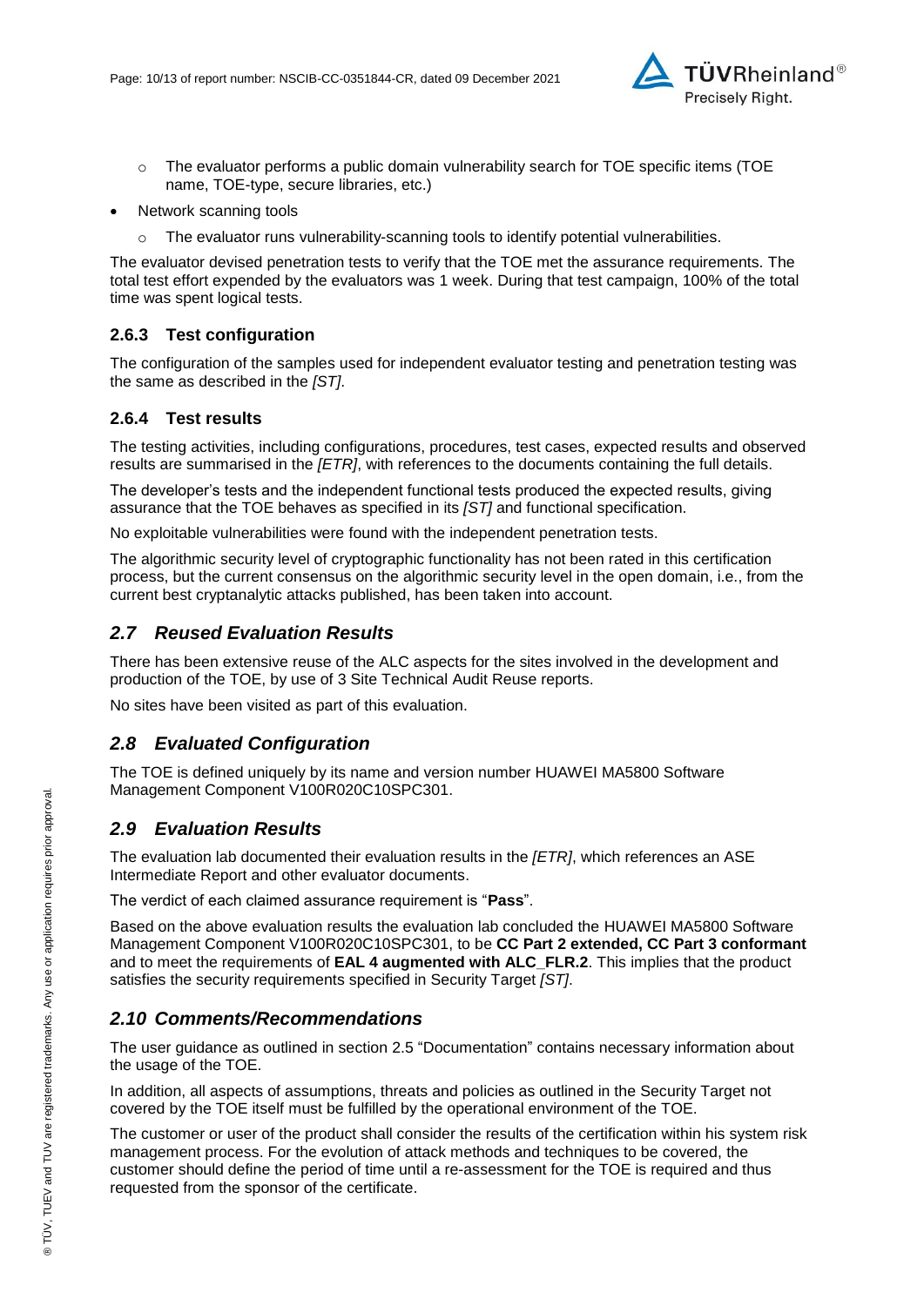

- $\circ$  The evaluator performs a public domain vulnerability search for TOE specific items (TOE name, TOE-type, secure libraries, etc.)
- Network scanning tools
	- $\circ$  The evaluator runs vulnerability-scanning tools to identify potential vulnerabilities.

The evaluator devised penetration tests to verify that the TOE met the assurance requirements. The total test effort expended by the evaluators was 1 week. During that test campaign, 100% of the total time was spent logical tests.

### **2.6.3 Test configuration**

The configuration of the samples used for independent evaluator testing and penetration testing was the same as described in the *[ST]*.

### **2.6.4 Test results**

The testing activities, including configurations, procedures, test cases, expected results and observed results are summarised in the *[ETR]*, with references to the documents containing the full details.

The developer's tests and the independent functional tests produced the expected results, giving assurance that the TOE behaves as specified in its *[ST]* and functional specification.

No exploitable vulnerabilities were found with the independent penetration tests.

The algorithmic security level of cryptographic functionality has not been rated in this certification process, but the current consensus on the algorithmic security level in the open domain, i.e., from the current best cryptanalytic attacks published, has been taken into account.

### *2.7 Reused Evaluation Results*

There has been extensive reuse of the ALC aspects for the sites involved in the development and production of the TOE, by use of 3 Site Technical Audit Reuse reports.

No sites have been visited as part of this evaluation.

### *2.8 Evaluated Configuration*

The TOE is defined uniquely by its name and version number [HUAWEI MA5800 Software](#page-0-3)  [Management Component V100R020C10SPC301.](#page-0-3)

### *2.9 Evaluation Results*

The evaluation lab documented their evaluation results in the *[ETR]*, which references an ASE Intermediate Report and other evaluator documents.

The verdict of each claimed assurance requirement is "**Pass**".

Based on the above evaluation results the evaluation lab concluded the [HUAWEI MA5800 Software](#page-0-3)  [Management Component V100R020C10SPC301,](#page-0-3) to be **CC Part 2 extended, CC Part 3 conformant** and to meet the requirements of **EAL [4](#page-4-0) augmented with ALC\_FLR.2**. This implies that the product satisfies the security requirements specified in Security Target *[ST]*.

### *2.10 Comments/Recommendations*

The user guidance as outlined in section [2.5](#page-7-0) ["Documentation"](#page-7-0) contains necessary information about the usage of the TOE.

In addition, all aspects of assumptions, threats and policies as outlined in the Security Target not covered by the TOE itself must be fulfilled by the operational environment of the TOE.

The customer or user of the product shall consider the results of the certification within his system risk management process. For the evolution of attack methods and techniques to be covered, the customer should define the period of time until a re-assessment for the TOE is required and thus requested from the sponsor of the certificate.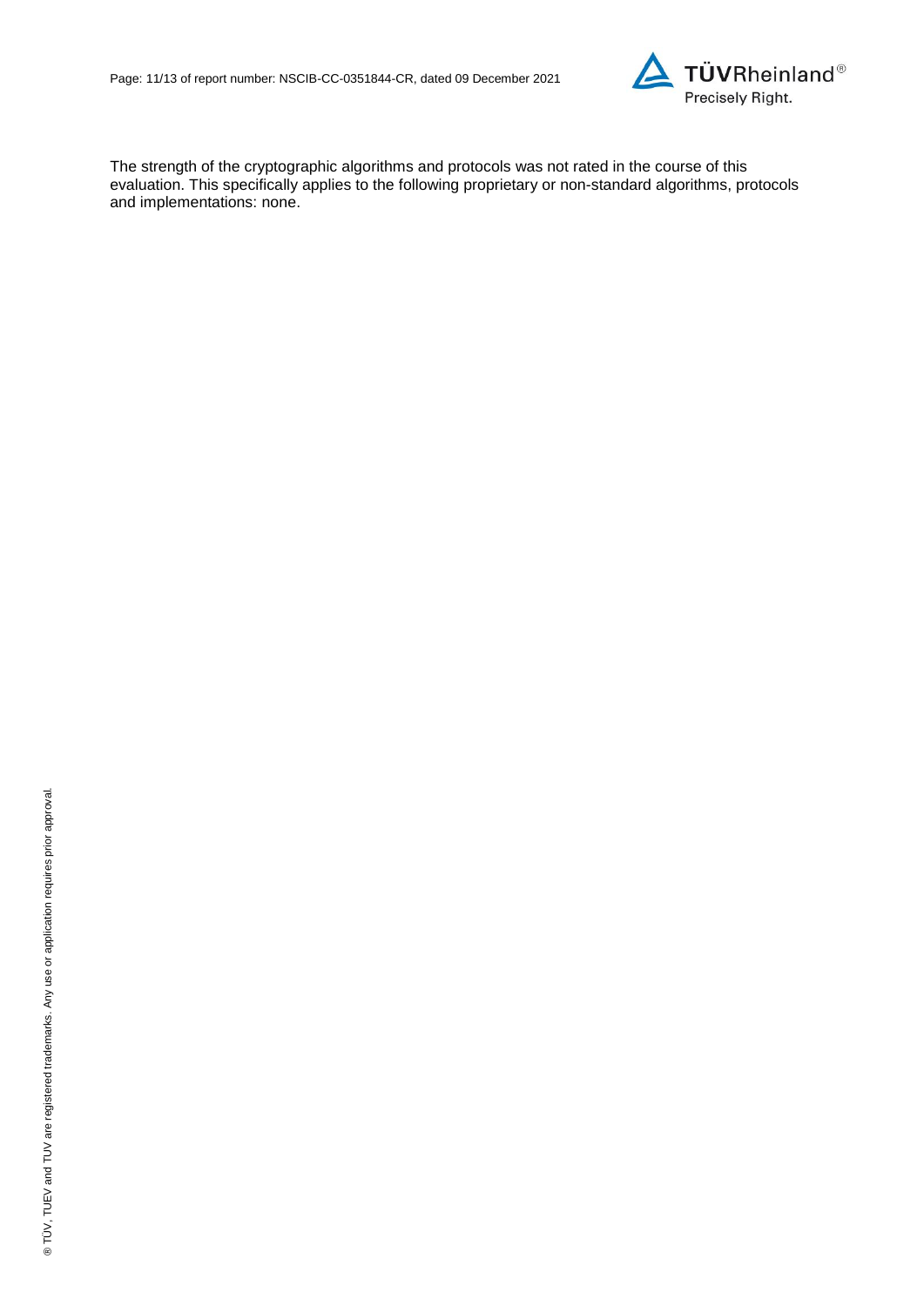

The strength of the cryptographic algorithms and protocols was not rated in the course of this evaluation. This specifically applies to the following proprietary or non-standard algorithms, protocols and implementations: none.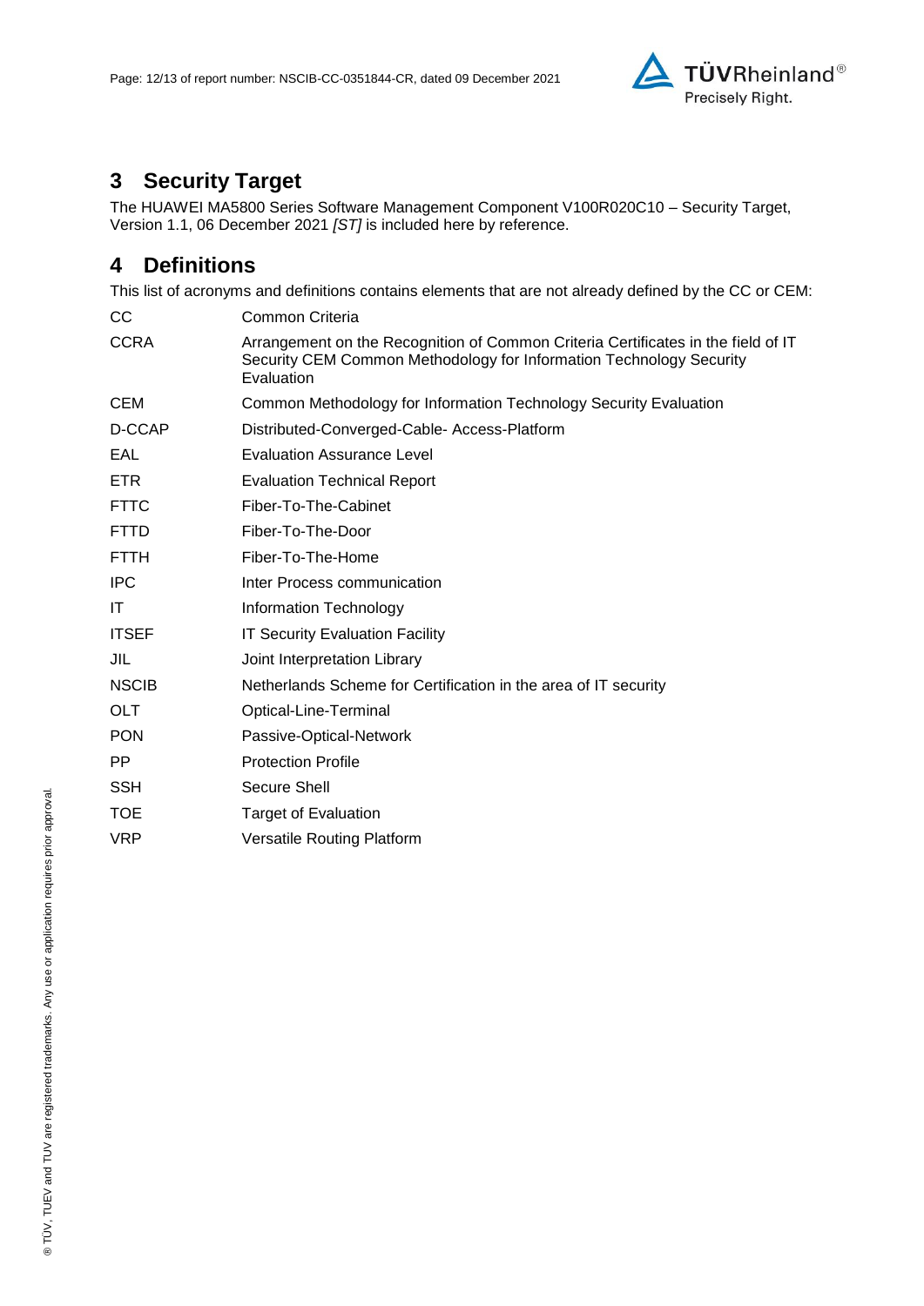

# **3 Security Target**

The [HUAWEI MA5800 Series Software Management Component V100R020C10 –](#page-12-0) Security Target, [Version 1.1, 06 December 2021](#page-12-0) *[ST]* is included here by reference.

## **4 Definitions**

This list of acronyms and definitions contains elements that are not already defined by the CC or CEM:

| CС           | Common Criteria                                                                                                                                                        |
|--------------|------------------------------------------------------------------------------------------------------------------------------------------------------------------------|
| <b>CCRA</b>  | Arrangement on the Recognition of Common Criteria Certificates in the field of IT<br>Security CEM Common Methodology for Information Technology Security<br>Evaluation |
| <b>CEM</b>   | Common Methodology for Information Technology Security Evaluation                                                                                                      |
| D-CCAP       | Distributed-Converged-Cable- Access-Platform                                                                                                                           |
| EAL          | <b>Evaluation Assurance Level</b>                                                                                                                                      |
| <b>ETR</b>   | <b>Evaluation Technical Report</b>                                                                                                                                     |
| <b>FTTC</b>  | Fiber-To-The-Cabinet                                                                                                                                                   |
| <b>FTTD</b>  | Fiber-To-The-Door                                                                                                                                                      |
| <b>FTTH</b>  | Fiber-To-The-Home                                                                                                                                                      |
| <b>IPC</b>   | Inter Process communication                                                                                                                                            |
| IT           | Information Technology                                                                                                                                                 |
| <b>ITSEF</b> | <b>IT Security Evaluation Facility</b>                                                                                                                                 |
| JIL          | Joint Interpretation Library                                                                                                                                           |
| <b>NSCIB</b> | Netherlands Scheme for Certification in the area of IT security                                                                                                        |
| <b>OLT</b>   | Optical-Line-Terminal                                                                                                                                                  |
| <b>PON</b>   | Passive-Optical-Network                                                                                                                                                |
| PP.          | <b>Protection Profile</b>                                                                                                                                              |
| <b>SSH</b>   | Secure Shell                                                                                                                                                           |
| <b>TOE</b>   | Target of Evaluation                                                                                                                                                   |
| <b>VRP</b>   | <b>Versatile Routing Platform</b>                                                                                                                                      |